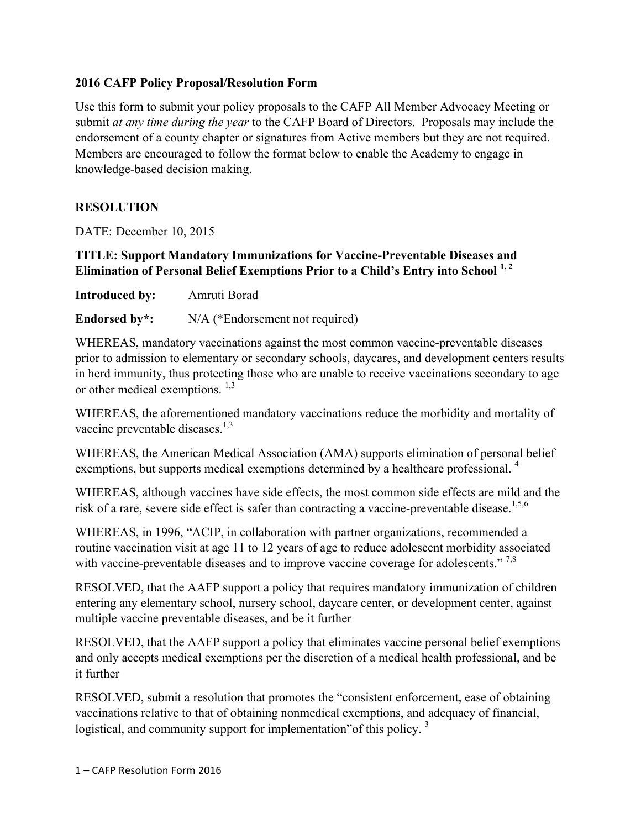#### **2016 CAFP Policy Proposal/Resolution Form**

Use this form to submit your policy proposals to the CAFP All Member Advocacy Meeting or submit *at any time during the year* to the CAFP Board of Directors. Proposals may include the endorsement of a county chapter or signatures from Active members but they are not required. Members are encouraged to follow the format below to enable the Academy to engage in knowledge-based decision making.

## **RESOLUTION**

DATE: December 10, 2015

## **TITLE: Support Mandatory Immunizations for Vaccine-Preventable Diseases and Elimination of Personal Belief Exemptions Prior to a Child's Entry into School 1, 2**

**Introduced by:** Amruti Borad

**Endorsed by\*:** N/A (\*Endorsement not required)

WHEREAS, mandatory vaccinations against the most common vaccine-preventable diseases prior to admission to elementary or secondary schools, daycares, and development centers results in herd immunity, thus protecting those who are unable to receive vaccinations secondary to age or other medical exemptions.  $^{1,3}$ 

WHEREAS, the aforementioned mandatory vaccinations reduce the morbidity and mortality of vaccine preventable diseases. $1,3$ 

WHEREAS, the American Medical Association (AMA) supports elimination of personal belief exemptions, but supports medical exemptions determined by a healthcare professional. <sup>4</sup>

WHEREAS, although vaccines have side effects, the most common side effects are mild and the risk of a rare, severe side effect is safer than contracting a vaccine-preventable disease.<sup>1,5,6</sup>

WHEREAS, in 1996, "ACIP, in collaboration with partner organizations, recommended a routine vaccination visit at age 11 to 12 years of age to reduce adolescent morbidity associated with vaccine-preventable diseases and to improve vaccine coverage for adolescents."<sup>7,8</sup>

RESOLVED, that the AAFP support a policy that requires mandatory immunization of children entering any elementary school, nursery school, daycare center, or development center, against multiple vaccine preventable diseases, and be it further

RESOLVED, that the AAFP support a policy that eliminates vaccine personal belief exemptions and only accepts medical exemptions per the discretion of a medical health professional, and be it further

RESOLVED, submit a resolution that promotes the "consistent enforcement, ease of obtaining vaccinations relative to that of obtaining nonmedical exemptions, and adequacy of financial, logistical, and community support for implementation" of this policy.<sup>3</sup>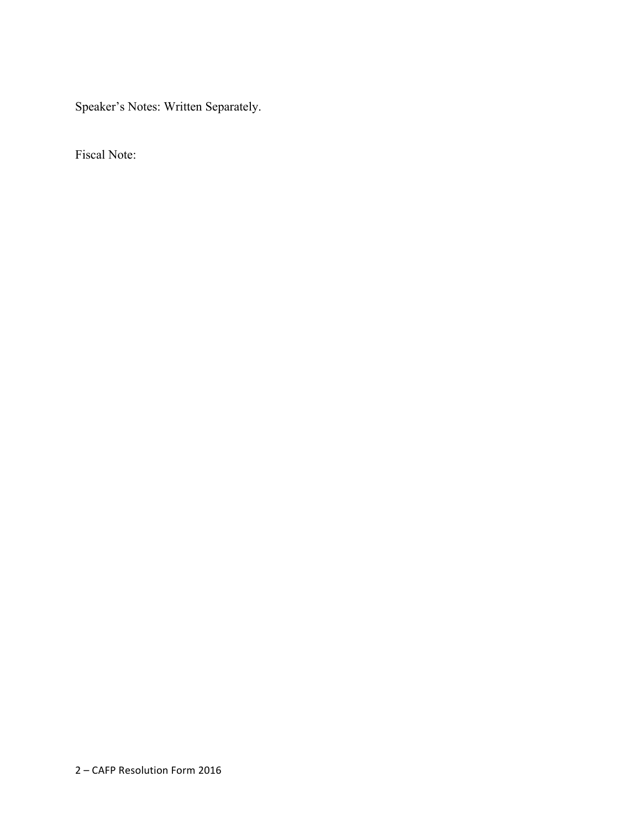Speaker's Notes: Written Separately.

Fiscal Note: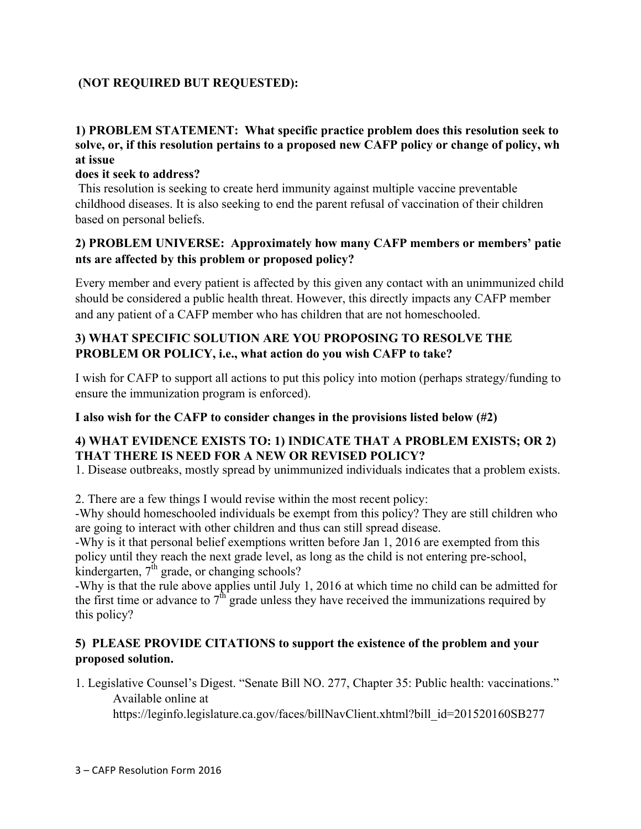# **(NOT REQUIRED BUT REQUESTED):**

### **1) PROBLEM STATEMENT: What specific practice problem does this resolution seek to solve, or, if this resolution pertains to a proposed new CAFP policy or change of policy, wh at issue**

#### **does it seek to address?**

This resolution is seeking to create herd immunity against multiple vaccine preventable childhood diseases. It is also seeking to end the parent refusal of vaccination of their children based on personal beliefs.

### **2) PROBLEM UNIVERSE: Approximately how many CAFP members or members' patie nts are affected by this problem or proposed policy?**

Every member and every patient is affected by this given any contact with an unimmunized child should be considered a public health threat. However, this directly impacts any CAFP member and any patient of a CAFP member who has children that are not homeschooled.

## **3) WHAT SPECIFIC SOLUTION ARE YOU PROPOSING TO RESOLVE THE PROBLEM OR POLICY, i.e., what action do you wish CAFP to take?**

I wish for CAFP to support all actions to put this policy into motion (perhaps strategy/funding to ensure the immunization program is enforced).

#### **I also wish for the CAFP to consider changes in the provisions listed below (#2)**

### **4) WHAT EVIDENCE EXISTS TO: 1) INDICATE THAT A PROBLEM EXISTS; OR 2) THAT THERE IS NEED FOR A NEW OR REVISED POLICY?**

1. Disease outbreaks, mostly spread by unimmunized individuals indicates that a problem exists.

2. There are a few things I would revise within the most recent policy:

-Why should homeschooled individuals be exempt from this policy? They are still children who are going to interact with other children and thus can still spread disease.

-Why is it that personal belief exemptions written before Jan 1, 2016 are exempted from this policy until they reach the next grade level, as long as the child is not entering pre-school, kindergarten,  $7<sup>th</sup>$  grade, or changing schools?

-Why is that the rule above applies until July 1, 2016 at which time no child can be admitted for the first time or advance to  $7<sup>th</sup>$  grade unless they have received the immunizations required by this policy?

## **5) PLEASE PROVIDE CITATIONS to support the existence of the problem and your proposed solution.**

1. Legislative Counsel's Digest. "Senate Bill NO. 277, Chapter 35: Public health: vaccinations." Available online at

https://leginfo.legislature.ca.gov/faces/billNavClient.xhtml?bill\_id=201520160SB277